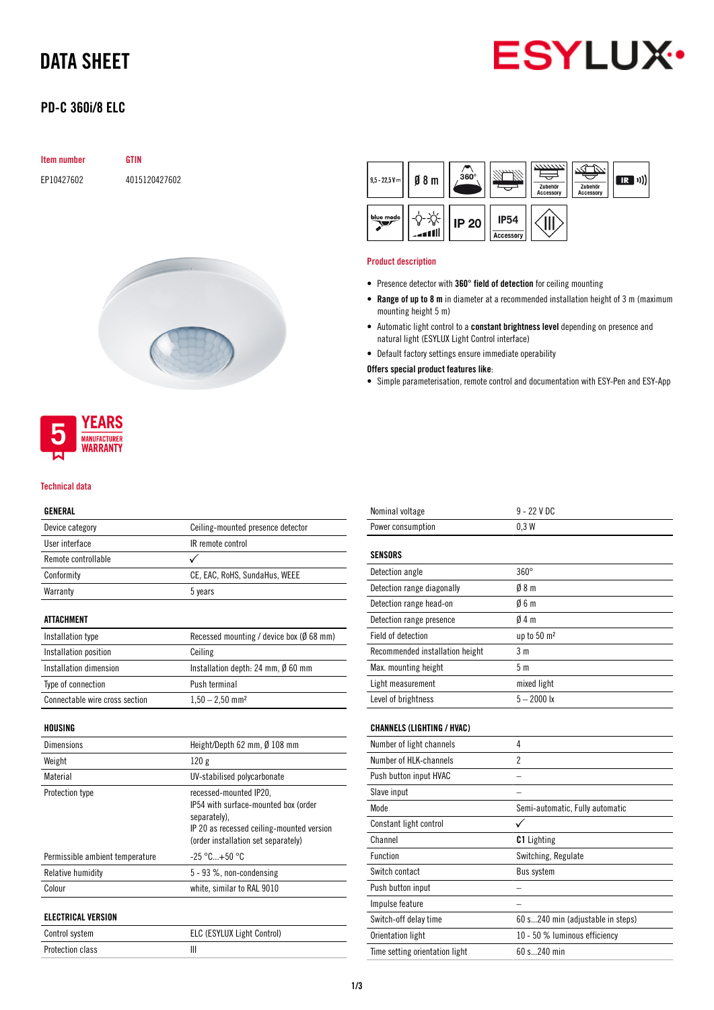# DATA SHEET



# PD-C 360i/8 ELC

| <b>Item number</b> |
|--------------------|
|--------------------|

EP10427602 4015120427602

**GTIN** 





#### Technical data

## GENERAL

| ulnenal                        |                                                     |  |
|--------------------------------|-----------------------------------------------------|--|
| Device category                | Ceiling-mounted presence detector                   |  |
| User interface                 | IR remote control                                   |  |
| Remote controllable            |                                                     |  |
| Conformity                     | CE, EAC, RoHS, SundaHus, WEEE                       |  |
| Warranty                       | 5 years                                             |  |
|                                |                                                     |  |
| ATTACHMENT                     |                                                     |  |
| Installation type              | Recessed mounting / device box ( $\emptyset$ 68 mm) |  |
| Installation position          | Ceiling                                             |  |
| Installation dimension         | Installation depth: 24 mm, $\emptyset$ 60 mm        |  |
| Type of connection             | Push terminal                                       |  |
| Connectable wire cross section | $1,50 - 2,50$ mm <sup>2</sup>                       |  |
|                                |                                                     |  |
| HOUSING                        |                                                     |  |
| Dimensions                     | Height/Depth 62 mm, $\emptyset$ 108 mm              |  |

| Weight                          | 120g                                                                                                                                                               |
|---------------------------------|--------------------------------------------------------------------------------------------------------------------------------------------------------------------|
| Material                        | UV-stabilised polycarbonate                                                                                                                                        |
| Protection type                 | recessed-mounted IP20,<br>IP54 with surface-mounted box (order<br>separately).<br>IP 20 as recessed ceiling-mounted version<br>(order installation set separately) |
| Permissible ambient temperature | $-25 °C+50 °C$                                                                                                                                                     |
| Relative humidity               | 5 - 93 %, non-condensing                                                                                                                                           |
| Colour                          | white, similar to RAL 9010                                                                                                                                         |
| <b>ELECTRICAL VERSION</b>       |                                                                                                                                                                    |
| Control system                  | ELC (ESYLUX Light Control)                                                                                                                                         |
| Protection class                | Ш                                                                                                                                                                  |



#### Product description

- Presence detector with 360° field of detection for ceiling mounting
- Range of up to 8 m in diameter at a recommended installation height of 3 m (maximum mounting height 5 m)
- Automatic light control to a constant brightness level depending on presence and natural light (ESYLUX Light Control interface)
- Default factory settings ensure immediate operability

#### Offers special product features like:

• Simple parameterisation, remote control and documentation with ESY-Pen and ESY-App

| Nominal voltage                   | $9 - 22$ V DC                     |
|-----------------------------------|-----------------------------------|
| Power consumption                 | 0.3W                              |
|                                   |                                   |
| <b>SENSORS</b>                    |                                   |
| Detection angle                   | $360^\circ$                       |
| Detection range diagonally        | 08 <sub>m</sub>                   |
| Detection range head-on           | 06m                               |
| Detection range presence          | 04m                               |
| Field of detection                | up to 50 m <sup>2</sup>           |
| Recommended installation height   | 3 <sub>m</sub>                    |
| Max. mounting height              | 5 <sub>m</sub>                    |
| Light measurement                 | mixed light                       |
| Level of brightness               | $5 - 2000$ lx                     |
|                                   |                                   |
| <b>CHANNELS (LIGHTING / HVAC)</b> |                                   |
| Number of light channels          | 4                                 |
| Number of HLK-channels            | $\overline{2}$                    |
| Push button input HVAC            |                                   |
| Slave input                       |                                   |
| Mode                              | Semi-automatic, Fully automatic   |
| Constant light control            | ✓                                 |
| Channel                           | <b>C1</b> Lighting                |
| <b>Function</b>                   | Switching, Regulate               |
| Switch contact                    | <b>Bus system</b>                 |
| Push button input                 |                                   |
| Impulse feature                   |                                   |
| Switch-off delay time             | 60 s240 min (adjustable in steps) |
| Orientation light                 | 10 - 50 % luminous efficiency     |
| Time setting orientation light    | 60 s240 min                       |
|                                   |                                   |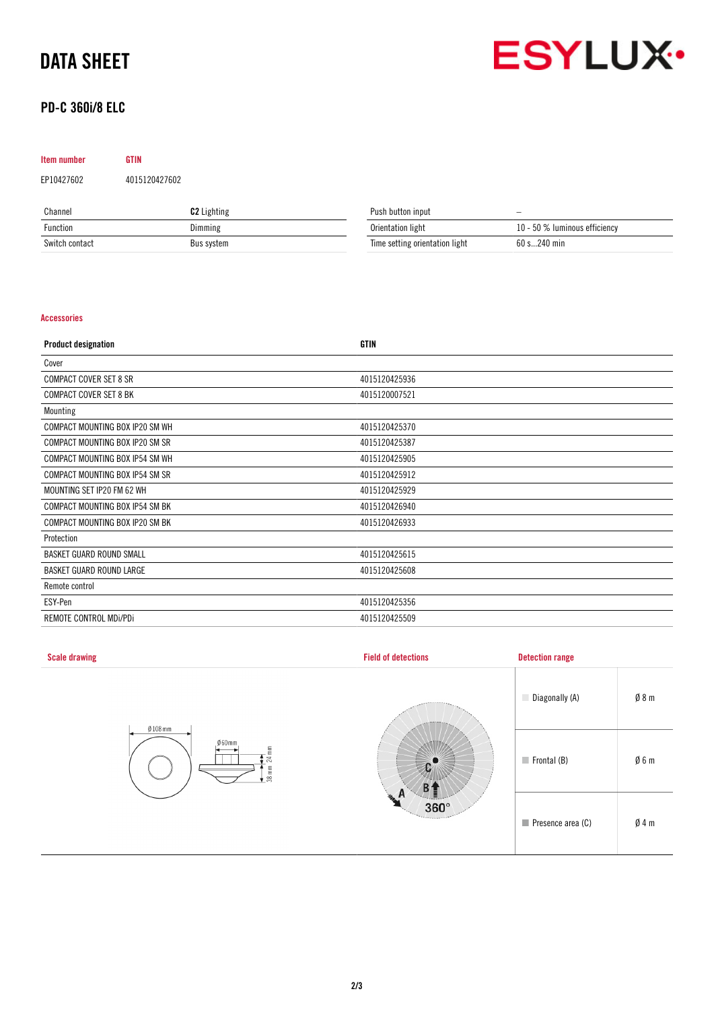# DATA SHEET



# PD-C 360i/8 ELC

| Item number | <b>GTIN</b>   |
|-------------|---------------|
| EP10427602  | 4015120427602 |

| Channel        | <b>C2</b> Lighting | Push button input              | $\qquad \qquad \longleftarrow$ |
|----------------|--------------------|--------------------------------|--------------------------------|
| Function       | Dimming            | Orientation light              | 10 - 50 % luminous efficiency  |
| Switch contact | Bus system         | Time setting orientation light | 60 s240 min                    |

## Accessories

| <b>Product designation</b>      | <b>GTIN</b>   |
|---------------------------------|---------------|
| Cover                           |               |
| <b>COMPACT COVER SET 8 SR</b>   | 4015120425936 |
| <b>COMPACT COVER SET 8 BK</b>   | 4015120007521 |
| Mounting                        |               |
| COMPACT MOUNTING BOX IP20 SM WH | 4015120425370 |
| COMPACT MOUNTING BOX IP20 SM SR | 4015120425387 |
| COMPACT MOUNTING BOX IP54 SM WH | 4015120425905 |
| COMPACT MOUNTING BOX IP54 SM SR | 4015120425912 |
| MOUNTING SET IP20 FM 62 WH      | 4015120425929 |
| COMPACT MOUNTING BOX IP54 SM BK | 4015120426940 |
| COMPACT MOUNTING BOX IP20 SM BK | 4015120426933 |
| Protection                      |               |
| BASKET GUARD ROUND SMALL        | 4015120425615 |
| BASKET GUARD ROUND LARGE        | 4015120425608 |
| Remote control                  |               |
| ESY-Pen                         | 4015120425356 |
| REMOTE CONTROL MDI/PDI          | 4015120425509 |

| <b>Scale drawing</b>                                                         | <b>Field of detections</b>    | <b>Detection range</b>     |                 |
|------------------------------------------------------------------------------|-------------------------------|----------------------------|-----------------|
|                                                                              | <b>ARRIVERS</b>               | Diagonally (A)             | Ø8m             |
| $Ø108$ mm<br>$060$ mm<br>$\mathop{\mathbb{E}}$<br>$^{24}$<br>$38 \text{ mm}$ |                               | $\blacksquare$ Frontal (B) | $\emptyset$ 6 m |
|                                                                              | q.<br>$360^\circ$<br>Territor | Presence area (C)          | Ø4m             |